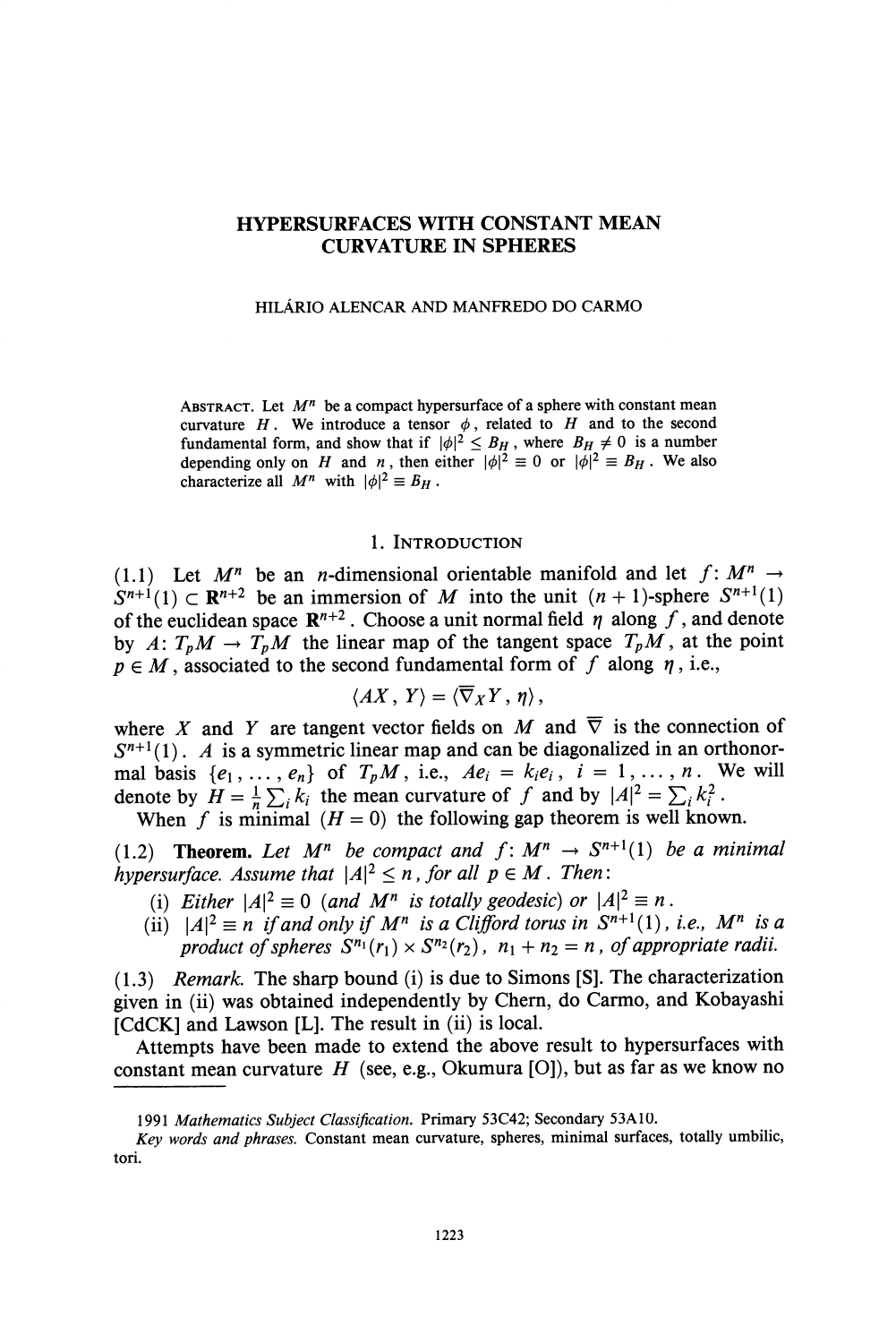# **HYPERSURFACES WITH CONSTANT MEAN CURVATURE IN SPHERES**

#### **HILARIO ALENCAR AND MANFREDO DO CARMO**

ABSTRACT. Let  $M^n$  be a compact hypersurface of a sphere with constant mean curvature  $H$ . We introduce a tensor  $\phi$ , related to  $H$  and to the second fundamental form, and show that if  $|\phi|^2 \leq B_H$ , where  $B_H \neq 0$  is a number depending only on H and n, then either  $|\phi|^2 \equiv 0$  or  $|\phi|^2 \equiv B_H$ . We also **characterize all**  $M^n$  with  $|\phi|^2 \equiv B_H$ .

### **1. INTRODUCTION**

(1.1) Let  $M^n$  be an *n*-dimensional orientable manifold and let  $f: M^n \rightarrow$  $S^{n+1}(1) \subset \mathbb{R}^{n+2}$  be an immersion of M into the unit  $(n + 1)$ -sphere  $S^{n+1}(1)$ of the euclidean space  $\mathbb{R}^{n+2}$ . Choose a unit normal field  $\eta$  along f, and denote by  $A: T_pM \to T_pM$  the linear map of the tangent space  $T_pM$ , at the point  $p \in M$ , associated to the second fundamental form of  $f$  along  $\eta$ , i.e.,

$$
\langle AX, Y\rangle = \langle \overline{\nabla}_X Y, \eta\rangle,
$$

where X and Y are tangent vector fields on M and  $\overline{\nabla}$  is the connection of  $S^{n+1}(1)$ . A is a symmetric linear map and can be diagonalized in an orthonormal basis  $\{e_1, \ldots, e_n\}$  of  $T_pM$ , i.e.,  $Ae_i = k_ie_i$ ,  $i = 1, \ldots, n$ . We will denote by  $H = \frac{1}{n} \sum_{i} k_i$  the mean curvature of f and by  $|A|^2 = \sum_{i} k_i^2$ . When  $f$  is minimal  $(H = 0)$  the following gap theorem is well known.

(1.2) **Theorem.** Let  $M^n$  be compact and  $f: M^n \rightarrow S^{n+1}(1)$  be a minimal

**hypersurface.** Assume that  $|A|^2 \le n$ , for all  $p \in M$ . Then:

- (i) Either  $|A|^2 \equiv 0$  (and M<sup>n</sup> is totally geodesic) or  $|A|^2 \equiv n$ .
- (ii)  $|A|^2 \equiv n$  if and only if  $M^n$  is a Clifford torus in  $S^{n+1}(1)$ , i.e.,  $M^n$  is a **product of spheres**  $S^{n_1}(r_1) \times S^{n_2}(r_2)$ **,**  $n_1 + n_2 = n$ **, of appropriate radii.**

**(1.3) Remark. The sharp bound (i) is due to Simons [S]. The characterization given in (ii) was obtained independently by Chem, do Carmo, and Kobayashi [CdCK] and Lawson [L]. The result in (ii) is local.** 

**Attempts have been made to extend the above result to hypersurfaces with constant mean curvature H (see, e.g., Okumura [0]), but as far as we know no** 

<sup>1991</sup> Mathematics Subject Classification. Primary 53C42; Secondary 53A10.

**Key words and phrases. Constant mean curvature, spheres, minimal surfaces, totally umbilic, tori.**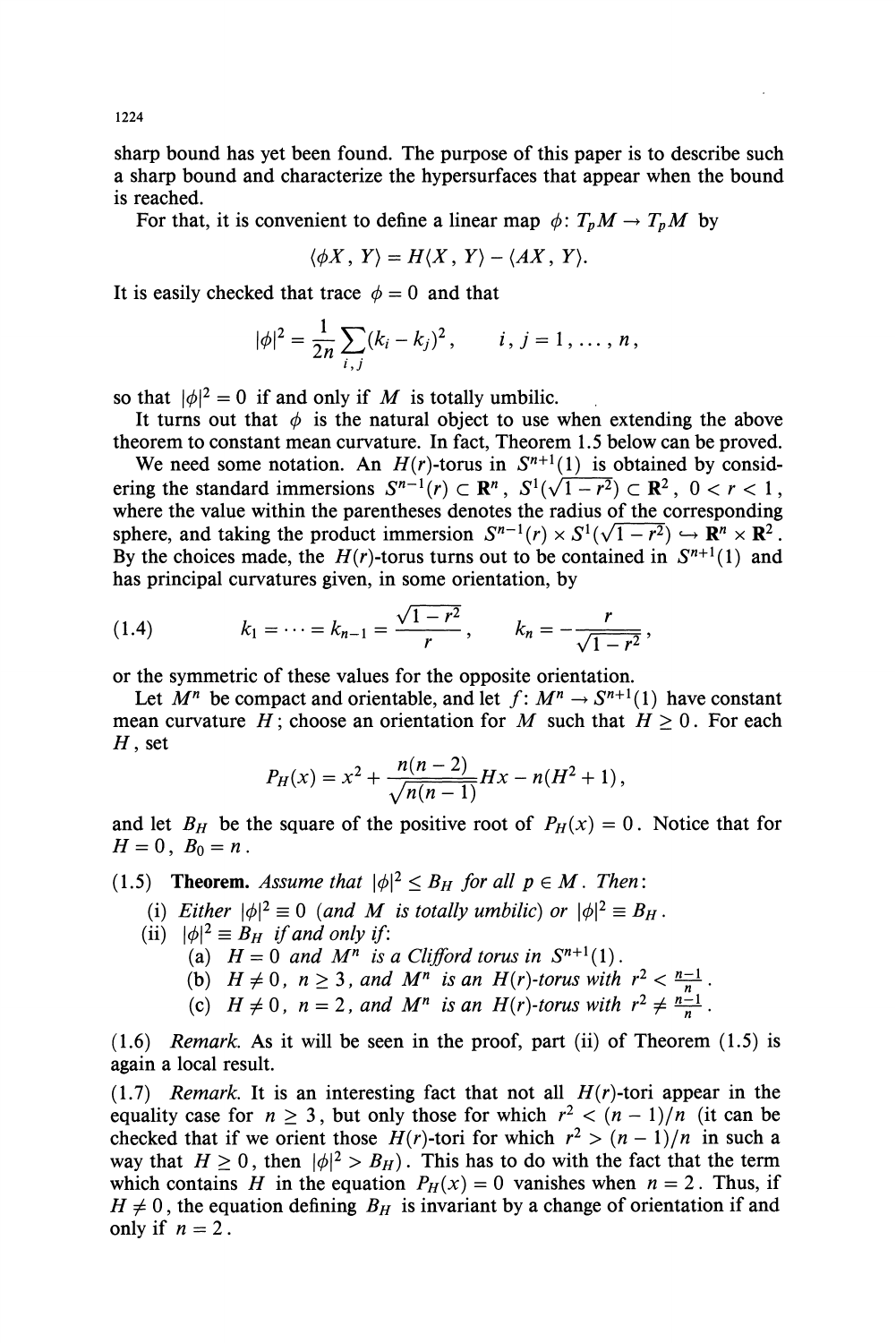**sharp bound has yet been found. The purpose of this paper is to describe such a sharp bound and characterize the hypersurfaces that appear when the bound is reached.** 

For that, it is convenient to define a linear map  $\phi: T_pM \to T_pM$  by

$$
\langle \phi X, Y \rangle = H \langle X, Y \rangle - \langle A X, Y \rangle.
$$

It is easily checked that trace  $\phi = 0$  and that

$$
|\phi|^2 = \frac{1}{2n} \sum_{i,j} (k_i - k_j)^2, \qquad i, j = 1, \ldots, n,
$$

so that  $|\phi|^2 = 0$  if and only if M is totally umbilic.

It turns out that  $\phi$  is the natural object to use when extending the above **theorem to constant mean curvature. In fact, Theorem 1.5 below can be proved.** 

We need some notation. An  $H(r)$ -torus in  $S^{n+1}(1)$  is obtained by considering the standard immersions  $S^{n-1}(r) \subset \mathbb{R}^n$ ,  $S^1(\sqrt{1-r^2}) \subset \mathbb{R}^2$ ,  $0 < r < 1$ , **where the value within the parentheses denotes the radius of the corresponding sphere, and taking the product immersion**  $S^{n-1}(r) \times S^1(\sqrt{1-r^2}) \hookrightarrow \mathbb{R}^n \times \mathbb{R}^2$ **.** By the choices made, the  $H(r)$ -torus turns out to be contained in  $S^{n+1}(1)$  and **has principal curvatures given, in some orientation, by** 

(1.4) 
$$
k_1 = \cdots = k_{n-1} = \frac{\sqrt{1-r^2}}{r}, \qquad k_n = -\frac{r}{\sqrt{1-r^2}},
$$

**or the symmetric of these values for the opposite orientation.** 

Let  $M^n$  be compact and orientable, and let  $f: M^n \to S^{n+1}(1)$  have constant **mean curvature H; choose an orientation for M such that**  $H > 0$ **. For each H, set** 

$$
P_H(x) = x^2 + \frac{n(n-2)}{\sqrt{n(n-1)}}Hx - n(H^2 + 1),
$$

and let  $B_H$  be the square of the positive root of  $P_H(x) = 0$ . Notice that for  $H=0$ ,  $B_0=n$ .

(1.5) **Theorem.** Assume that  $|\phi|^2 \leq B_H$  for all  $p \in M$ . Then:

- (i) Either  $|\phi|^2 \equiv 0$  (and M is totally umbilic) or  $|\phi|^2 \equiv B_H$ .
- (ii)  $|\phi|^2 \equiv B_H$  *if and only if:* 
	- (a)  $H = 0$  and  $M^n$  is a Clifford torus in  $S^{n+1}(1)$ .
	- **(b)**  $H \neq 0$ ,  $n \geq 3$ , and  $M^n$  is an  $H(r)$ -torus with  $r^2 < \frac{n-1}{n}$
	- **(c)**  $H \neq 0$ ,  $n = 2$ , and  $M^n$  is an  $H(r)$ -torus with  $r^2 \neq \frac{n-1}{n}$ .

**(1.6) Remark. As it will be seen in the proof, part (ii) of Theorem (1.5) is again a local result.** 

**(1.7) Remark. It is an interesting fact that not all H(r)-tori appear in the equality case for**  $n \geq 3$ **, but only those for which**  $r^2 < (n-1)/n$  **(it can be** checked that if we orient those  $H(r)$ -tori for which  $r^2 > (n-1)/n$  in such a way that  $H \ge 0$ , then  $|\phi|^2 > B_H$ ). This has to do with the fact that the term which contains H in the equation  $P_H(x) = 0$  vanishes when  $n = 2$ . Thus, if  $H \neq 0$ , the equation defining  $B_H$  is invariant by a change of orientation if and **only if**  $n = 2$ .

**1224**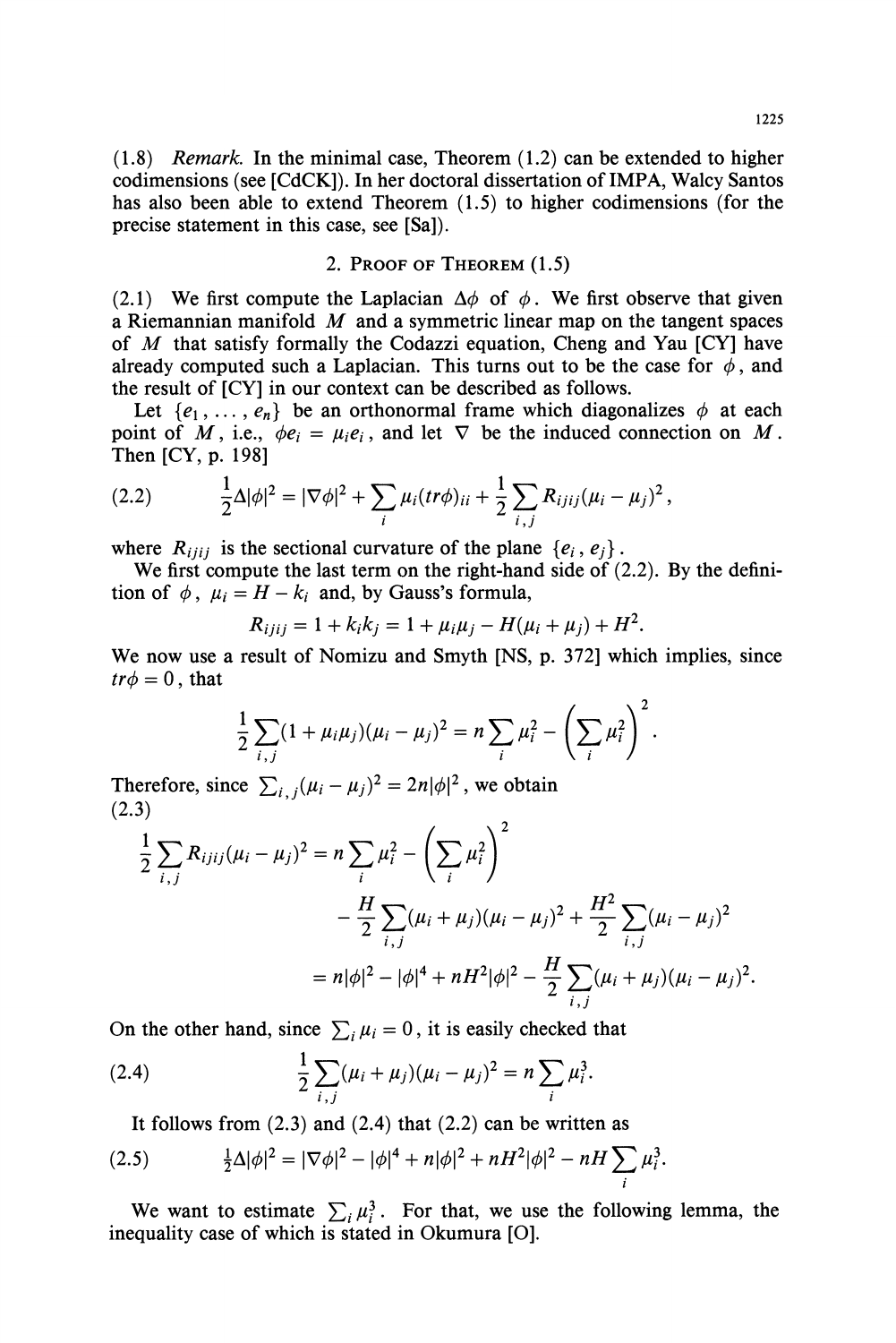**(1.8) Remark. In the minimal case, Theorem (1.2) can be extended to higher codimensions (see [CdCK]). In her doctoral dissertation of IMPA, Walcy Santos has also been able to extend Theorem (1.5) to higher codimensions (for the precise statement in this case, see [Sa]).** 

## **2. PROOF OF THEOREM (1.5)**

(2.1) We first compute the Laplacian  $\Delta\phi$  of  $\phi$ . We first observe that given **a Riemannian manifold M and a symmetric linear map on the tangent spaces of M that satisfy formally the Codazzi equation, Cheng and Yau [CY] have**  already computed such a Laplacian. This turns out to be the case for  $\phi$ , and **the result of [CY] in our context can be described as follows.** 

Let  $\{e_1, \ldots, e_n\}$  be an orthonormal frame which diagonalizes  $\phi$  at each point of M, i.e.,  $\phi e_i = \mu_i e_i$ , and let  $\nabla$  be the induced connection on M. **Then [CY, p. 198]** 

(2.2) 
$$
\frac{1}{2}\Delta |\phi|^2 = |\nabla \phi|^2 + \sum_i \mu_i (tr\phi)_{ii} + \frac{1}{2}\sum_{i,j} R_{ijij} (\mu_i - \mu_j)^2,
$$

where  $R_{ijij}$  is the sectional curvature of the plane  $\{e_i, e_j\}$ .

**We first compute the last term on the right-hand side of (2.2). By the defini**tion of  $\phi$ ,  $\mu_i = H - k_i$  and, by Gauss's formula,

$$
R_{ijij} = 1 + k_i k_j = 1 + \mu_i \mu_j - H(\mu_i + \mu_j) + H^2.
$$

**We now use a result of Nomizu and Smyth [NS, p. 372] which implies, since**   $tr\phi = 0$ , that

$$
\frac{1}{2}\sum_{i,j}(1+\mu_i\mu_j)(\mu_i-\mu_j)^2=n\sum_i\mu_i^2-\left(\sum_i\mu_i^2\right)^2.
$$

**Therefore, since**  $\sum_{i,j}(\mu_i - \mu_j)^2 = 2n|\phi|^2$ , we obtain **(2.3)** 

$$
\frac{1}{2} \sum_{i,j} R_{ijij} (\mu_i - \mu_j)^2 = n \sum_i \mu_i^2 - \left(\sum_i \mu_i^2\right)^2
$$
  
 
$$
- \frac{H}{2} \sum_{i,j} (\mu_i + \mu_j) (\mu_i - \mu_j)^2 + \frac{H^2}{2} \sum_{i,j} (\mu_i - \mu_j)^2
$$
  
 
$$
= n|\phi|^2 - |\phi|^4 + nH^2|\phi|^2 - \frac{H}{2} \sum_{i,j} (\mu_i + \mu_j) (\mu_i - \mu_j)^2.
$$

On the other hand, since  $\sum_i \mu_i = 0$ , it is easily checked that

(2.4) 
$$
\frac{1}{2}\sum_{i,j}(\mu_i+\mu_j)(\mu_i-\mu_j)^2=n\sum_i\mu_i^3.
$$

**It follows from (2.3) and (2.4) that (2.2) can be written as** 

(2.5) 
$$
\frac{1}{2}\Delta |\phi|^2 = |\nabla \phi|^2 - |\phi|^4 + n|\phi|^2 + nH^2|\phi|^2 - nH \sum_i \mu_i^3.
$$

We want to estimate  $\sum_i \mu_i^3$ . For that, we use the following lemma, the **inequality case of which is stated in Okumura [0].**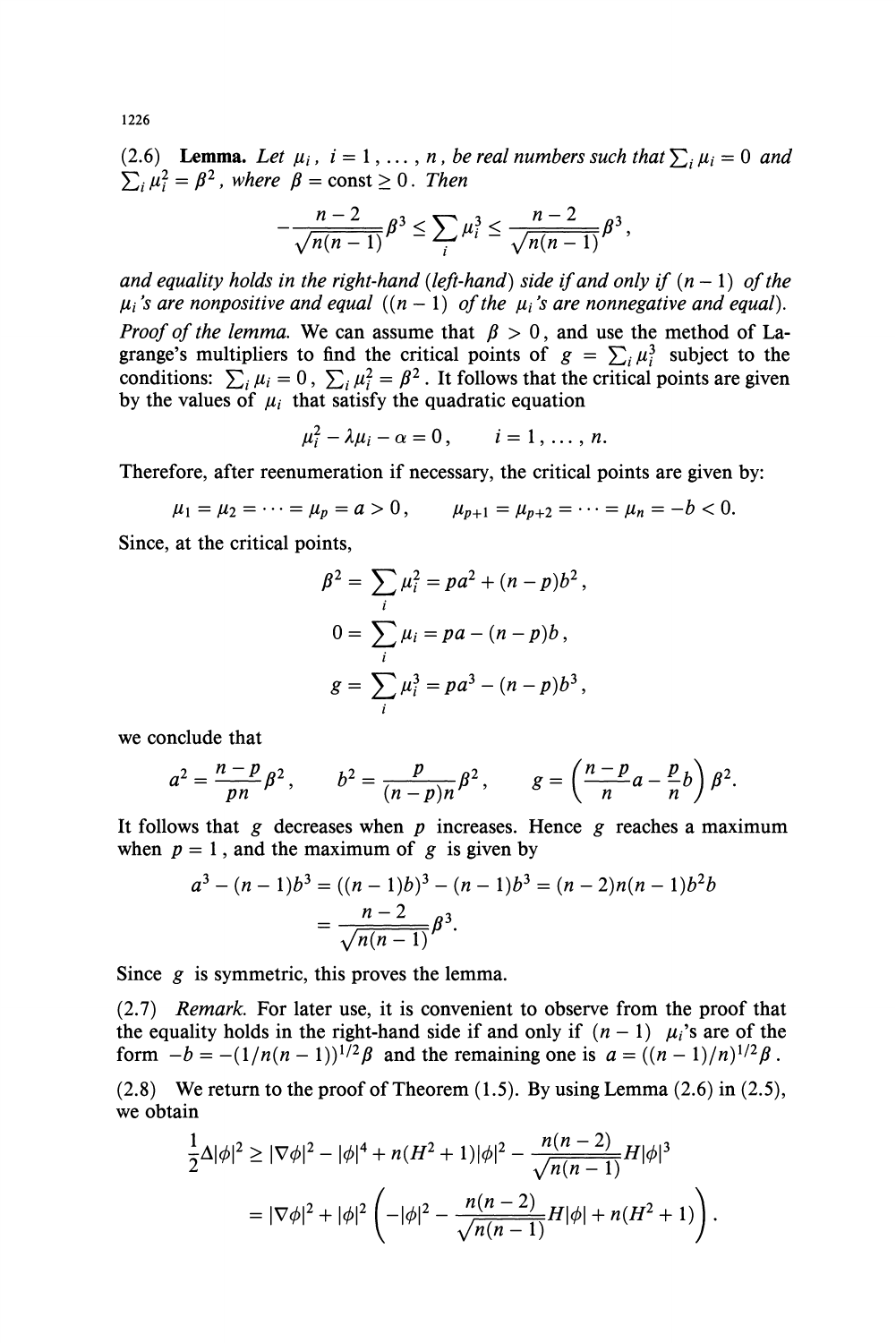(2.6) **Lemma.** Let  $\mu_i$ ,  $i = 1, \ldots, n$ , be real numbers such that  $\sum_i \mu_i = 0$  and  $\sum_i \mu_i^2 = \beta^2$ , where  $\beta = \text{const} \geq 0$ . Then

$$
-\frac{n-2}{\sqrt{n(n-1)}}\beta^3 \le \sum_i \mu_i^3 \le \frac{n-2}{\sqrt{n(n-1)}}\beta^3,
$$

and equality holds in the right-hand (left-hand) side if and only if  $(n - 1)$  of the  $\mu_i$ 's are nonpositive and equal  $((n - 1)$  of the  $\mu_i$ 's are nonnegative and equal). *Proof of the lemma*. We can assume that  $\beta > 0$ , and use the method of La**grange's multipliers to find the critical points of**  $g = \sum_i \mu_i^3$  **subject to the** conditions:  $\sum_i \mu_i = 0$ ,  $\sum_i \mu_i^2 = \beta^2$ . It follows that the critical points are given by the values of  $\mu_i$  that satisfy the quadratic equation

$$
\mu_i^2 - \lambda \mu_i - \alpha = 0, \qquad i = 1, \ldots, n.
$$

**Therefore, after reenumeration if necessary, the critical points are given by:** 

 $\mu_1 = \mu_2 = \cdots = \mu_p = a > 0,$   $\mu_{p+1} = \mu_{p+2} = \cdots = \mu_n = -b < 0.$ 

**Since, at the critical points,** 

$$
\beta^{2} = \sum_{i} \mu_{i}^{2} = pa^{2} + (n - p)b^{2},
$$
  
\n
$$
0 = \sum_{i} \mu_{i} = pa - (n - p)b,
$$
  
\n
$$
g = \sum_{i} \mu_{i}^{3} = pa^{3} - (n - p)b^{3},
$$

**we conclude that** 

$$
a^2 = \frac{n-p}{pn}\beta^2, \qquad b^2 = \frac{p}{(n-p)n}\beta^2, \qquad g = \left(\frac{n-p}{n}a - \frac{p}{n}b\right)\beta^2.
$$

It follows that g decreases when  $p$  increases. Hence  $g$  reaches a maximum when  $p = 1$ , and the maximum of  $g$  is given by

$$
a3 - (n - 1)b3 = ((n - 1)b)3 - (n - 1)b3 = (n - 2)n(n - 1)b2b
$$

$$
= \frac{n - 2}{\sqrt{n(n - 1)}}\beta3.
$$

**Since g is symmetric, this proves the lemma.** 

**(2.7) Remark. For later use, it is convenient to observe from the proof that**  the equality holds in the right-hand side if and only if  $(n - 1)$   $\mu_i$ 's are of the **form**  $-b = -(1/n(n-1))^{1/2}\beta$  and the remaining one is  $a = ((n-1)/n)^{1/2}\beta$ .

**(2.8) We return to the proof of Theorem (1.5). By using Lemma (2.6) in (2.5), we obtain** 

$$
\frac{1}{2}\Delta|\phi|^2 \ge |\nabla\phi|^2 - |\phi|^4 + n(H^2 + 1)|\phi|^2 - \frac{n(n-2)}{\sqrt{n(n-1)}}H|\phi|^3
$$
  
=  $|\nabla\phi|^2 + |\phi|^2 \left( -|\phi|^2 - \frac{n(n-2)}{\sqrt{n(n-1)}}H|\phi| + n(H^2 + 1) \right).$ 

**1226**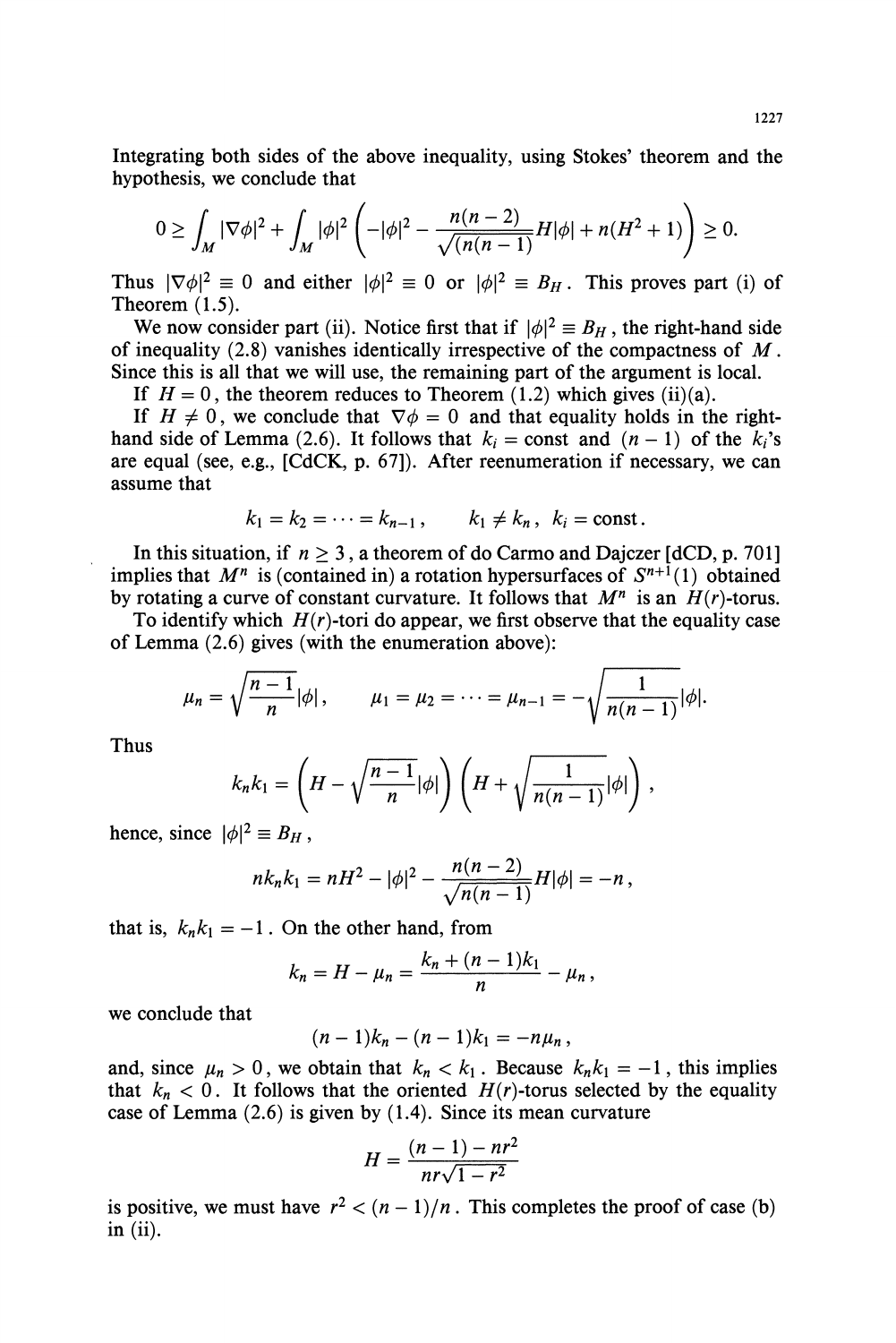**Integrating both sides of the above inequality, using Stokes' theorem and the hypothesis, we conclude that** 

$$
0 \geq \int_M |\nabla \phi|^2 + \int_M |\phi|^2 \left( -|\phi|^2 - \frac{n(n-2)}{\sqrt{(n(n-1))}} H|\phi| + n(H^2 + 1) \right) \geq 0.
$$

Thus  $|\nabla \phi|^2 \equiv 0$  and either  $|\phi|^2 \equiv 0$  or  $|\phi|^2 \equiv B_H$ . This proves part (i) of **Theorem (1.5).** 

We now consider part (ii). Notice first that if  $|\phi|^2 \equiv B_H$ , the right-hand side **of inequality (2.8) vanishes identically irrespective of the compactness of M. Since this is all that we will use, the remaining part of the argument is local.** 

If  $H = 0$ , the theorem reduces to Theorem (1.2) which gives (ii)(a).

If  $H \neq 0$ , we conclude that  $\nabla \phi = 0$  and that equality holds in the right**hand side of Lemma** (2.6). It follows that  $k_i$  = const and  $(n - 1)$  of the  $k_i$ 's **are equal (see, e.g., [CdCK, p. 67]). After reenumeration if necessary, we can assume that** 

$$
k_1 = k_2 = \cdots = k_{n-1}, \qquad k_1 \neq k_n, \ \ k_i = \text{const.}
$$

In this situation, if  $n \geq 3$ , a theorem of do Carmo and Dajczer  $[dCD, p. 701]$ implies that  $M^n$  is (contained in) a rotation hypersurfaces of  $S^{n+1}(1)$  obtained by rotating a curve of constant curvature. It follows that  $M^n$  is an  $H(r)$ -torus.

To identify which  $H(r)$ -tori do appear, we first observe that the equality case **of Lemma (2.6) gives (with the enumeration above):** 

$$
\mu_n = \sqrt{\frac{n-1}{n}} |\phi|, \qquad \mu_1 = \mu_2 = \cdots = \mu_{n-1} = -\sqrt{\frac{1}{n(n-1)}} |\phi|.
$$

**Thus** 

$$
k_n k_1 = \left(H - \sqrt{\frac{n-1}{n}}|\phi|\right)\left(H + \sqrt{\frac{1}{n(n-1)}}|\phi|\right),
$$

**hence, since**  $|\phi|^2 \equiv B_H$ ,

$$
nk_nk_1 = nH^2 - |\phi|^2 - \frac{n(n-2)}{\sqrt{n(n-1)}}H|\phi| = -n,
$$

that is,  $k_n k_1 = -1$ . On the other hand, from

$$
k_n = H - \mu_n = \frac{k_n + (n-1)k_1}{n} - \mu_n,
$$

**we conclude that** 

$$
(n-1)k_n - (n-1)k_1 = -n\mu_n,
$$

and, since  $\mu_n > 0$ , we obtain that  $k_n < k_1$ . Because  $k_n k_1 = -1$ , this implies that  $k_n < 0$ . It follows that the oriented  $H(r)$ -torus selected by the equality **case of Lemma (2.6) is given by (1.4). Since its mean curvature** 

$$
H = \frac{(n-1) - nr^2}{nr\sqrt{1 - r^2}}
$$

is positive, we must have  $r^2 < (n-1)/n$ . This completes the proof of case (b) **in (ii).**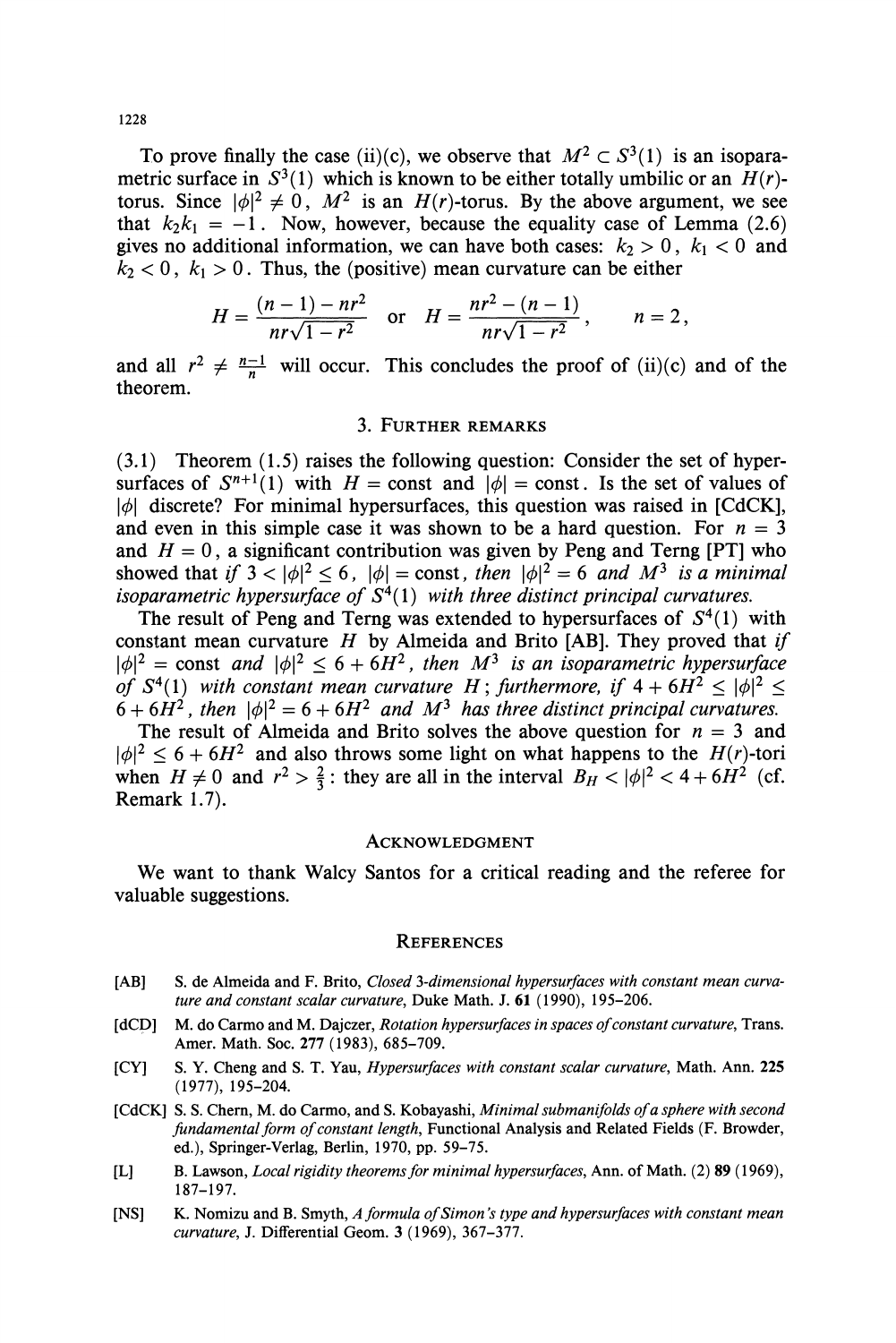**1228** 

To prove finally the case (ii)(c), we observe that  $M^2 \subset S^3(1)$  is an isoparametric surface in  $S^3(1)$  which is known to be either totally umbilic or an  $H(r)$ torus. Since  $|\phi|^2 \neq 0$ ,  $M^2$  is an  $H(r)$ -torus. By the above argument, we see that  $k_2k_1 = -1$ . Now, however, because the equality case of Lemma (2.6) gives no additional information, we can have both cases:  $k_2 > 0$ ,  $k_1 < 0$  and  $k_2 < 0$ ,  $k_1 > 0$ . Thus, the (positive) mean curvature can be either

$$
H = \frac{(n-1) - nr^2}{nr\sqrt{1 - r^2}} \quad \text{or} \quad H = \frac{nr^2 - (n-1)}{nr\sqrt{1 - r^2}}, \qquad n = 2,
$$

and all  $r^2 \neq \frac{n-1}{n}$  will occur. This concludes the proof of (ii)(c) and of the **theorem.** 

### **3. FURTHER REMARKS**

**(3.1) Theorem (1.5) raises the following question: Consider the set of hyper**surfaces of  $S^{n+1}(1)$  with  $H = \text{const}$  and  $|\phi| = \text{const}$ . Is the set of values of **101 discrete? For minimal hypersurfaces, this question was raised in [CdCK],**  and even in this simple case it was shown to be a hard question. For  $n = 3$ and  $H = 0$ , a significant contribution was given by Peng and Terng [PT] who showed that if  $3 < |\phi|^2 \le 6$ ,  $|\phi| = \text{const}$ , then  $|\phi|^2 = 6$  and  $M^3$  is a minimal *isoparametric hypersurface of*  $S<sup>4</sup>(1)$  with three distinct principal curvatures.

The result of Peng and Terng was extended to hypersurfaces of  $S^4(1)$  with **constant mean curvature H by Almeida and Brito [AB]. They proved that if**   $|\phi|^2$  = const and  $|\phi|^2 \leq 6 + 6H^2$ , then  $M^3$  is an isoparametric hypersurface **of**  $S^4(1)$  with constant mean curvature H; furthermore, if  $4 + 6H^2 \le |\phi|^2 \le$  $6 + 6H^2$ , then  $|\phi|^2 = 6 + 6H^2$  and  $M^3$  has three distinct principal curvatures.

The result of Almeida and Brito solves the above question for  $n = 3$  and  $|\phi|^2 \leq 6 + 6H^2$  and also throws some light on what happens to the  $H(r)$ -tori when  $H \neq 0$  and  $r^2 > \frac{2}{3}$ : they are all in the interval  $B_H < |\phi|^2 < 4 + 6H^2$  (cf. **Remark 1.7).** 

#### **ACKNOWLEDGMENT**

**We want to thank Walcy Santos for a critical reading and the referee for valuable suggestions.** 

### **REFERENCES**

- **[AB] S. de Almeida and F. Brito, Closed 3-dimensional hypersurfaces with constant mean curvature and constant scalar curvature, Duke Math. J. 61 (1990), 195-206.**
- **[dCD] M. do Carmo and M. Dajczer, Rotation hypersurfaces in spaces of constant curvature, Trans. Amer. Math. Soc. 277 (1983), 685-709.**
- **[CY] S. Y. Cheng and S. T. Yau, Hypersurfaces with constant scalar curvature, Math. Ann. 225 (1977), 195-204.**
- **[CdCK] S. S. Chern, M. do Carmo, and S. Kobayashi, Minimal submanifolds of a sphere with second fundamental form of constant length, Functional Analysis and Related Fields (F. Browder, ed.), Springer-Verlag, Berlin, 1970, pp. 59-75.**
- **[L] B. Lawson, Local rigidity theorems for minimal hypersurfaces, Ann. of Math. (2) 89 (1969), 187-197.**
- **[NS] K. Nomizu and B. Smyth, A formula of Simon's type and hypersurfaces with constant mean curvature, J. Differential Geom. 3 (1969), 367-377.**